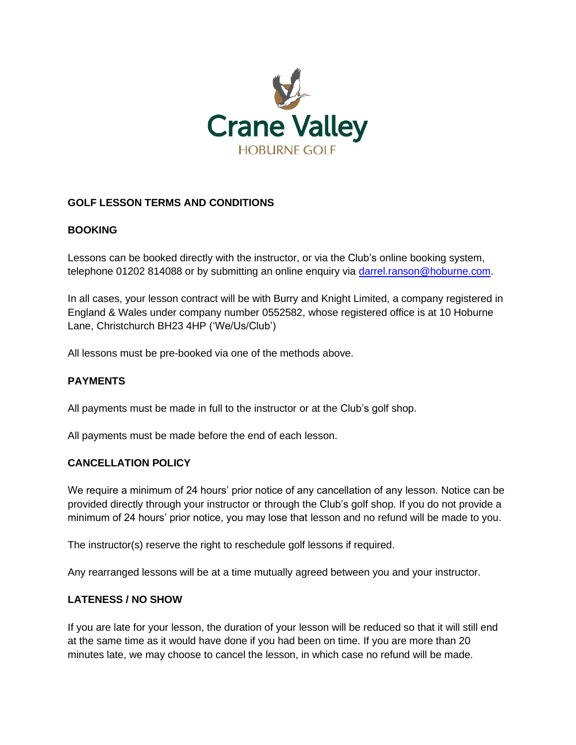

# **GOLF LESSON TERMS AND CONDITIONS**

# **BOOKING**

Lessons can be booked directly with the instructor, or via the Club's online booking system, telephone 01202 814088 or by submitting an online enquiry via [darrel.ranson@hoburne.com.](mailto:darrel.ranson@hoburne.com)

In all cases, your lesson contract will be with Burry and Knight Limited, a company registered in England & Wales under company number 0552582, whose registered office is at 10 Hoburne Lane, Christchurch BH23 4HP ('We/Us/Club')

All lessons must be pre-booked via one of the methods above.

#### **PAYMENTS**

All payments must be made in full to the instructor or at the Club's golf shop.

All payments must be made before the end of each lesson.

#### **CANCELLATION POLICY**

We require a minimum of 24 hours' prior notice of any cancellation of any lesson. Notice can be provided directly through your instructor or through the Club's golf shop. If you do not provide a minimum of 24 hours' prior notice, you may lose that lesson and no refund will be made to you.

The instructor(s) reserve the right to reschedule golf lessons if required.

Any rearranged lessons will be at a time mutually agreed between you and your instructor.

#### **LATENESS / NO SHOW**

If you are late for your lesson, the duration of your lesson will be reduced so that it will still end at the same time as it would have done if you had been on time. If you are more than 20 minutes late, we may choose to cancel the lesson, in which case no refund will be made.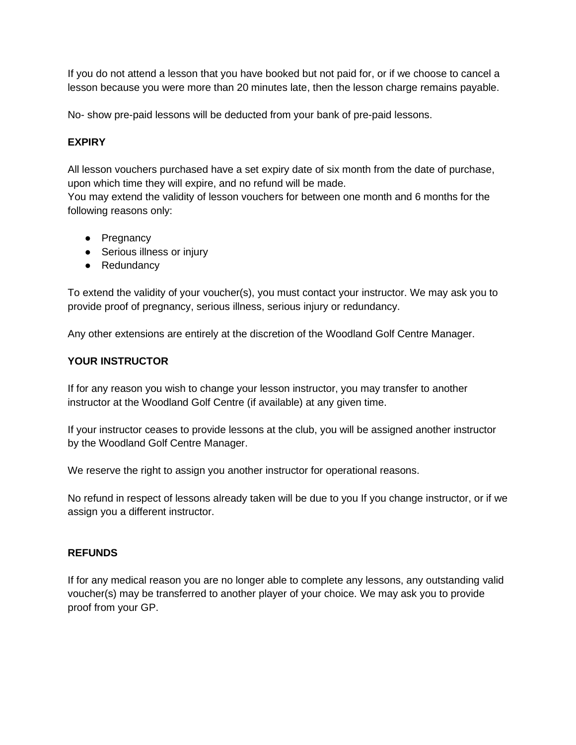If you do not attend a lesson that you have booked but not paid for, or if we choose to cancel a lesson because you were more than 20 minutes late, then the lesson charge remains payable.

No- show pre-paid lessons will be deducted from your bank of pre-paid lessons.

### **EXPIRY**

All lesson vouchers purchased have a set expiry date of six month from the date of purchase, upon which time they will expire, and no refund will be made.

You may extend the validity of lesson vouchers for between one month and 6 months for the following reasons only:

- Pregnancy
- Serious illness or injury
- Redundancy

To extend the validity of your voucher(s), you must contact your instructor. We may ask you to provide proof of pregnancy, serious illness, serious injury or redundancy.

Any other extensions are entirely at the discretion of the Woodland Golf Centre Manager.

#### **YOUR INSTRUCTOR**

If for any reason you wish to change your lesson instructor, you may transfer to another instructor at the Woodland Golf Centre (if available) at any given time.

If your instructor ceases to provide lessons at the club, you will be assigned another instructor by the Woodland Golf Centre Manager.

We reserve the right to assign you another instructor for operational reasons.

No refund in respect of lessons already taken will be due to you If you change instructor, or if we assign you a different instructor.

#### **REFUNDS**

If for any medical reason you are no longer able to complete any lessons, any outstanding valid voucher(s) may be transferred to another player of your choice. We may ask you to provide proof from your GP.